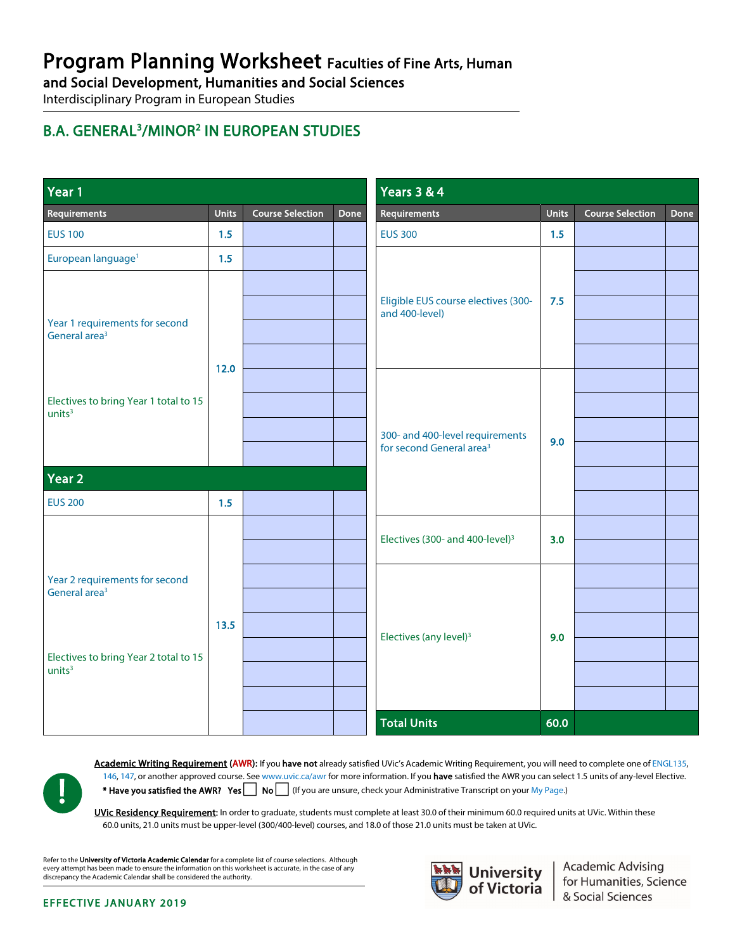# Program Planning Worksheet Faculties of Fine Arts, Human

and Social Development, Humanities and Social Sciences<br>Interdisciplinary Program in European Studies

## B.A. GENERAL<sup>3</sup>/MINOR<sup>2</sup> IN EUROPEAN STUDIES

| Year 1                                                                                                                     |              |                         |      | <b>Years 3 &amp; 4</b>                                                  |              |                         |      |
|----------------------------------------------------------------------------------------------------------------------------|--------------|-------------------------|------|-------------------------------------------------------------------------|--------------|-------------------------|------|
| Requirements                                                                                                               | <b>Units</b> | <b>Course Selection</b> | Done | Requirements                                                            | <b>Units</b> | <b>Course Selection</b> | Done |
| <b>EUS 100</b>                                                                                                             | 1.5          |                         |      | <b>EUS 300</b>                                                          | 1.5          |                         |      |
| European language <sup>1</sup>                                                                                             | 1.5          |                         |      |                                                                         |              |                         |      |
|                                                                                                                            |              |                         |      | Eligible EUS course electives (300-<br>and 400-level)                   | 7.5          |                         |      |
|                                                                                                                            |              |                         |      |                                                                         |              |                         |      |
| Year 1 requirements for second<br>General area <sup>3</sup>                                                                |              |                         |      |                                                                         |              |                         |      |
|                                                                                                                            |              |                         |      |                                                                         |              |                         |      |
|                                                                                                                            | 12.0         |                         |      |                                                                         |              |                         |      |
| Electives to bring Year 1 total to 15<br>units <sup>3</sup>                                                                |              |                         |      |                                                                         |              |                         |      |
|                                                                                                                            |              |                         |      | 300- and 400-level requirements<br>for second General area <sup>3</sup> | 9.0          |                         |      |
|                                                                                                                            |              |                         |      |                                                                         |              |                         |      |
| Year <sub>2</sub>                                                                                                          |              |                         |      |                                                                         |              |                         |      |
| <b>EUS 200</b>                                                                                                             | 1.5          |                         |      |                                                                         |              |                         |      |
| Year 2 requirements for second<br>General area <sup>3</sup><br>Electives to bring Year 2 total to 15<br>units <sup>3</sup> | 13.5         |                         |      | Electives (300- and 400-level) <sup>3</sup>                             | 3.0          |                         |      |
|                                                                                                                            |              |                         |      |                                                                         |              |                         |      |
|                                                                                                                            |              |                         |      |                                                                         | 9.0          |                         |      |
|                                                                                                                            |              |                         |      |                                                                         |              |                         |      |
|                                                                                                                            |              |                         |      | Electives (any level) <sup>3</sup>                                      |              |                         |      |
|                                                                                                                            |              |                         |      |                                                                         |              |                         |      |
|                                                                                                                            |              |                         |      |                                                                         |              |                         |      |
|                                                                                                                            |              |                         |      |                                                                         |              |                         |      |
|                                                                                                                            |              |                         |      | <b>Total Units</b>                                                      | 60.0         |                         |      |



Academic Writing Requirement (AWR): If you have not already satisfied UVic's Academic Writing Requirement, you will need to complete one of ENGL135, [146,](http://www.uvic.ca/calendar/CDs/ENGL/146.html) [147,](http://www.uvic.ca/calendar/CDs/ENGL/147.html) or another approved course. Se[e www.uvic.ca/awr](http://www.uvic.ca/awr) for more information. If you have satisfied the AWR you can select 1.5 units of any-level Elective. \* Have you satisfied the AWR? Yes No (If you are unsure, check your Administrative Transcript on you[r My Page.](http://www.uvic.ca/mypage))

UVic Residency Requirement: In order to graduate, students must complete at least 30.0 of their minimum 60.0 required units at UVic. Within these 60.0 units, 21.0 units must be upper-level (300/400-level) courses, and 18.0 of those 21.0 units must be taken at UVic.

Refer to the University of Victoria Academic Calendar for a complete list of course selections. Although every attempt has been made to ensure the information on this worksheet is accurate, in the case of any discrepancy the Academic Calendar shall be considered the authority.



Academic Advising<br>for Humanities, Science<br>& Social Sciences

#### EFFECTIVE JANUARY 2019